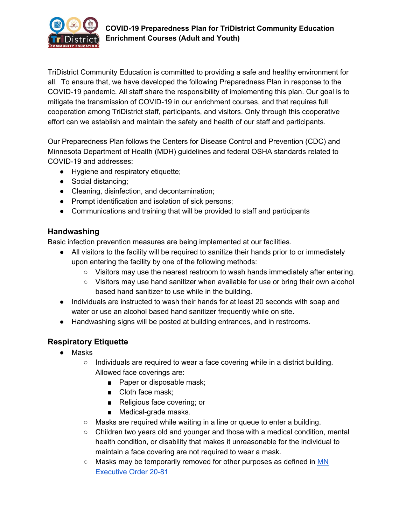

TriDistrict Community Education is committed to providing a safe and healthy environment for all. To ensure that, we have developed the following Preparedness Plan in response to the COVID-19 pandemic. All staff share the responsibility of implementing this plan. Our goal is to mitigate the transmission of COVID-19 in our enrichment courses, and that requires full cooperation among TriDistrict staff, participants, and visitors. Only through this cooperative effort can we establish and maintain the safety and health of our staff and participants.

Our Preparedness Plan follows the Centers for Disease Control and Prevention (CDC) and Minnesota Department of Health (MDH) guidelines and federal OSHA standards related to COVID-19 and addresses:

- Hygiene and respiratory etiquette;
- Social distancing;
- Cleaning, disinfection, and decontamination;
- Prompt identification and isolation of sick persons;
- Communications and training that will be provided to staff and participants

## **Handwashing**

Basic infection prevention measures are being implemented at our facilities.

- All visitors to the facility will be required to sanitize their hands prior to or immediately upon entering the facility by one of the following methods:
	- Visitors may use the nearest restroom to wash hands immediately after entering.
	- Visitors may use hand sanitizer when available for use or bring their own alcohol based hand sanitizer to use while in the building.
- Individuals are instructed to wash their hands for at least 20 seconds with soap and water or use an alcohol based hand sanitizer frequently while on site.
- Handwashing signs will be posted at building entrances, and in restrooms.

# **Respiratory Etiquette**

- Masks
	- $\circ$  Individuals are required to wear a face covering while in a district building. Allowed face coverings are:
		- Paper or disposable mask;
		- Cloth face mask;
		- Religious face covering; or
		- Medical-grade masks.
	- $\circ$  Masks are required while waiting in a line or queue to enter a building.
	- Children two years old and younger and those with a medical condition, mental health condition, or disability that makes it unreasonable for the individual to maintain a face covering are not required to wear a mask.
	- Masks may be temporarily removed for other purposes as defined in [MN](https://www.leg.mn.gov/archive/execorders/20-81.pdf) [Executive](https://www.leg.mn.gov/archive/execorders/20-81.pdf) Order 20-81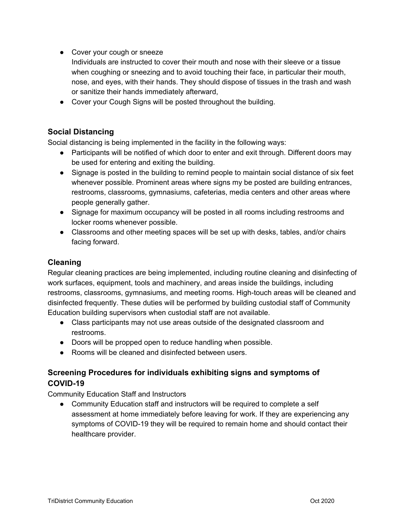- Cover your cough or sneeze
	- Individuals are instructed to cover their mouth and nose with their sleeve or a tissue when coughing or sneezing and to avoid touching their face, in particular their mouth, nose, and eyes, with their hands. They should dispose of tissues in the trash and wash or sanitize their hands immediately afterward,
- Cover your Cough Signs will be posted throughout the building.

## **Social Distancing**

Social distancing is being implemented in the facility in the following ways:

- Participants will be notified of which door to enter and exit through. Different doors may be used for entering and exiting the building.
- Signage is posted in the building to remind people to maintain social distance of six feet whenever possible. Prominent areas where signs my be posted are building entrances, restrooms, classrooms, gymnasiums, cafeterias, media centers and other areas where people generally gather.
- Signage for maximum occupancy will be posted in all rooms including restrooms and locker rooms whenever possible.
- Classrooms and other meeting spaces will be set up with desks, tables, and/or chairs facing forward.

## **Cleaning**

Regular cleaning practices are being implemented, including routine cleaning and disinfecting of work surfaces, equipment, tools and machinery, and areas inside the buildings, including restrooms, classrooms, gymnasiums, and meeting rooms. High-touch areas will be cleaned and disinfected frequently. These duties will be performed by building custodial staff of Community Education building supervisors when custodial staff are not available.

- Class participants may not use areas outside of the designated classroom and restrooms.
- Doors will be propped open to reduce handling when possible.
- Rooms will be cleaned and disinfected between users.

## **Screening Procedures for individuals exhibiting signs and symptoms of COVID-19**

Community Education Staff and Instructors

● Community Education staff and instructors will be required to complete a self assessment at home immediately before leaving for work. If they are experiencing any symptoms of COVID-19 they will be required to remain home and should contact their healthcare provider.